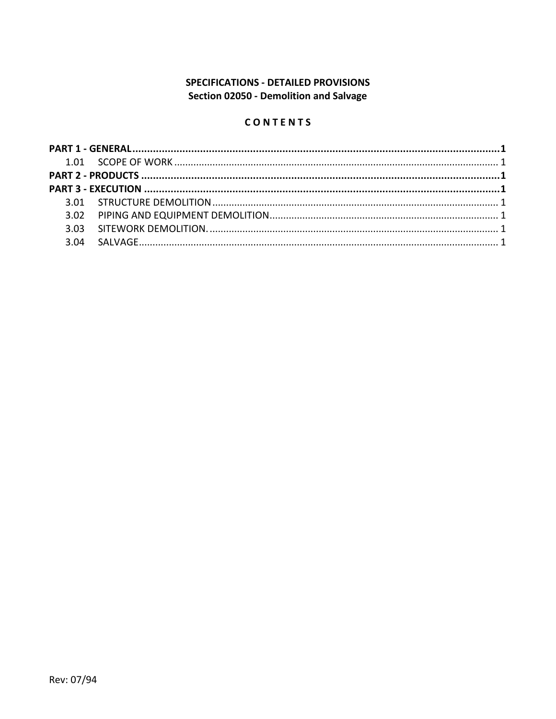# **SPECIFICATIONS - DETAILED PROVISIONS** Section 02050 - Demolition and Salvage

## CONTENTS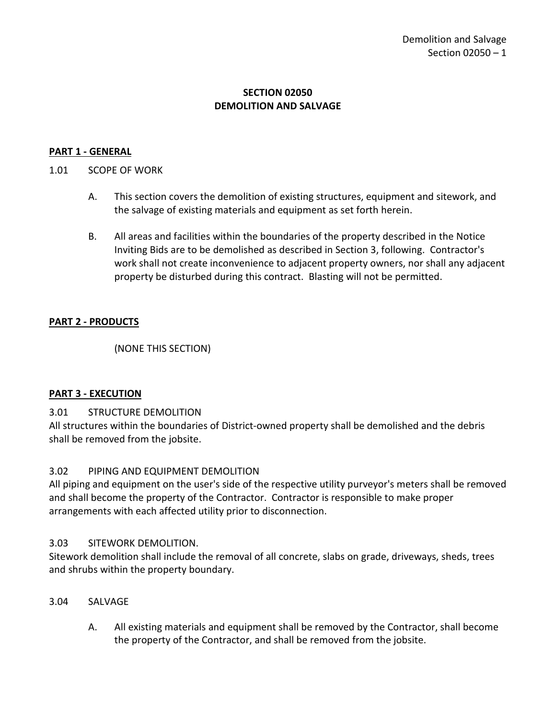#### **SECTION 02050 DEMOLITION AND SALVAGE**

#### <span id="page-2-0"></span>**PART 1 - GENERAL**

### <span id="page-2-1"></span>1.01 SCOPE OF WORK

- A. This section covers the demolition of existing structures, equipment and sitework, and the salvage of existing materials and equipment as set forth herein.
- B. All areas and facilities within the boundaries of the property described in the Notice Inviting Bids are to be demolished as described in Section 3, following. Contractor's work shall not create inconvenience to adjacent property owners, nor shall any adjacent property be disturbed during this contract. Blasting will not be permitted.

#### <span id="page-2-2"></span>**PART 2 - PRODUCTS**

(NONE THIS SECTION)

#### <span id="page-2-3"></span>**PART 3 - EXECUTION**

#### <span id="page-2-4"></span>3.01 STRUCTURE DEMOLITION

All structures within the boundaries of District-owned property shall be demolished and the debris shall be removed from the jobsite.

#### <span id="page-2-5"></span>3.02 PIPING AND EQUIPMENT DEMOLITION

All piping and equipment on the user's side of the respective utility purveyor's meters shall be removed and shall become the property of the Contractor. Contractor is responsible to make proper arrangements with each affected utility prior to disconnection.

#### <span id="page-2-6"></span>3.03 SITEWORK DEMOLITION.

Sitework demolition shall include the removal of all concrete, slabs on grade, driveways, sheds, trees and shrubs within the property boundary.

#### <span id="page-2-7"></span>3.04 SALVAGE

A. All existing materials and equipment shall be removed by the Contractor, shall become the property of the Contractor, and shall be removed from the jobsite.